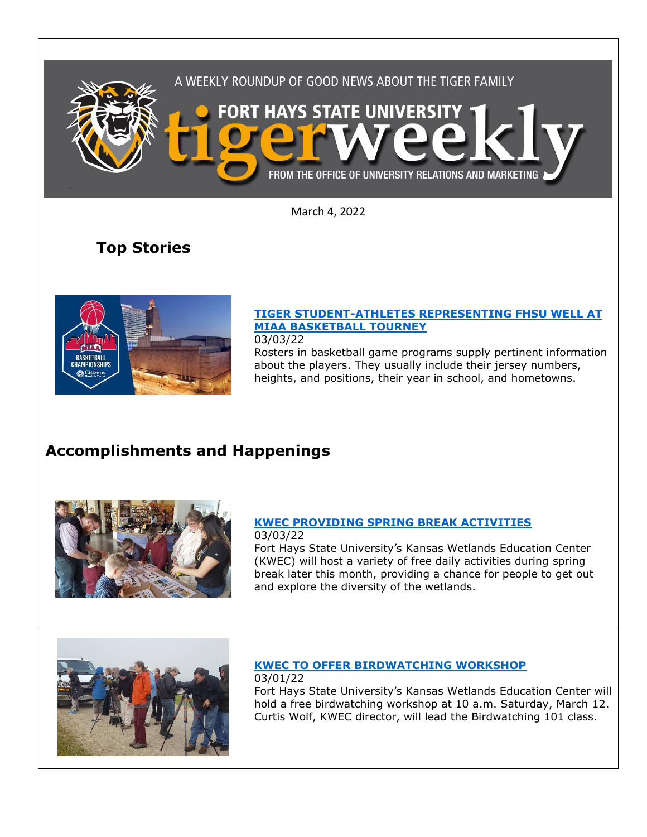

March 4, 2022

# **Top Stories**



## **[TIGER STUDENT-ATHLETES REPRESENTING FHSU WELL AT](https://www.fhsu.edu/news/2022/03/tiger-student-athletes-representing-fhsu-well-at-miaa-basketball-tourney)  [MIAA BASKETBALL TOURNEY](https://www.fhsu.edu/news/2022/03/tiger-student-athletes-representing-fhsu-well-at-miaa-basketball-tourney)**

03/03/22

Rosters in basketball game programs supply pertinent information about the players. They usually include their jersey numbers, heights, and positions, their year in school, and hometowns.

# **Accomplishments and Happenings**



#### **[KWEC PROVIDING SPRING BREAK ACTIVITIES](https://www.fhsu.edu/news/2022/03/kwec-providing-spring-break-activities)** 03/03/22

Fort Hays State University's Kansas Wetlands Education Center (KWEC) will host a variety of free daily activities during spring break later this month, providing a chance for people to get out and explore the diversity of the wetlands.



# **[KWEC TO OFFER BIRDWATCHING WORKSHOP](https://www.fhsu.edu/news/2022/03/kwec-to-offer-birdwatching-workshop)**

03/01/22 Fort Hays State University's Kansas Wetlands Education Center will hold a free birdwatching workshop at 10 a.m. Saturday, March 12. Curtis Wolf, KWEC director, will lead the Birdwatching 101 class.